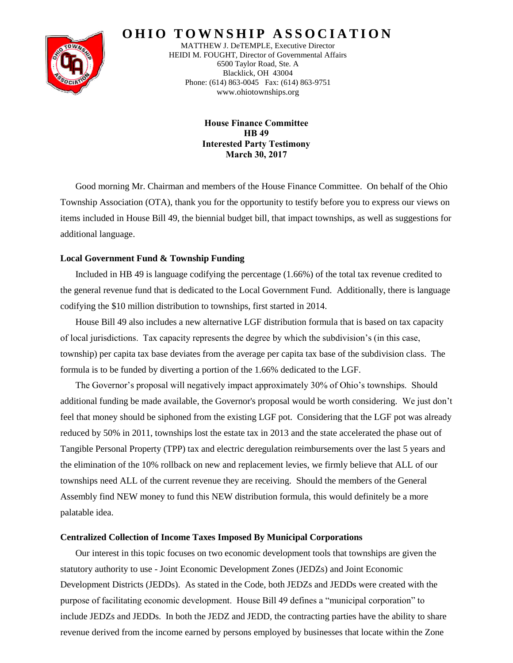# **OHIO TOWNSHIP ASSOCIATION**

MATTHEW J. DeTEMPLE, Executive Director HEIDI M. FOUGHT, Director of Governmental Affairs 6500 Taylor Road, Ste. A Blacklick, OH 43004 Phone: (614) 863-0045 Fax: (614) 863-9751 www.ohiotownships.org

> **House Finance Committee HB 49 Interested Party Testimony March 30, 2017**

Good morning Mr. Chairman and members of the House Finance Committee. On behalf of the Ohio Township Association (OTA), thank you for the opportunity to testify before you to express our views on items included in House Bill 49, the biennial budget bill, that impact townships, as well as suggestions for additional language.

#### **Local Government Fund & Township Funding**

Included in HB 49 is language codifying the percentage (1.66%) of the total tax revenue credited to the general revenue fund that is dedicated to the Local Government Fund. Additionally, there is language codifying the \$10 million distribution to townships, first started in 2014.

House Bill 49 also includes a new alternative LGF distribution formula that is based on tax capacity of local jurisdictions. Tax capacity represents the degree by which the subdivision's (in this case, township) per capita tax base deviates from the average per capita tax base of the subdivision class. The formula is to be funded by diverting a portion of the 1.66% dedicated to the LGF.

The Governor's proposal will negatively impact approximately 30% of Ohio's townships. Should additional funding be made available, the Governor's proposal would be worth considering. We just don't feel that money should be siphoned from the existing LGF pot. Considering that the LGF pot was already reduced by 50% in 2011, townships lost the estate tax in 2013 and the state accelerated the phase out of Tangible Personal Property (TPP) tax and electric deregulation reimbursements over the last 5 years and the elimination of the 10% rollback on new and replacement levies, we firmly believe that ALL of our townships need ALL of the current revenue they are receiving. Should the members of the General Assembly find NEW money to fund this NEW distribution formula, this would definitely be a more palatable idea.

### **Centralized Collection of Income Taxes Imposed By Municipal Corporations**

Our interest in this topic focuses on two economic development tools that townships are given the statutory authority to use - Joint Economic Development Zones (JEDZs) and Joint Economic Development Districts (JEDDs). As stated in the Code, both JEDZs and JEDDs were created with the purpose of facilitating economic development. House Bill 49 defines a "municipal corporation" to include JEDZs and JEDDs. In both the JEDZ and JEDD, the contracting parties have the ability to share revenue derived from the income earned by persons employed by businesses that locate within the Zone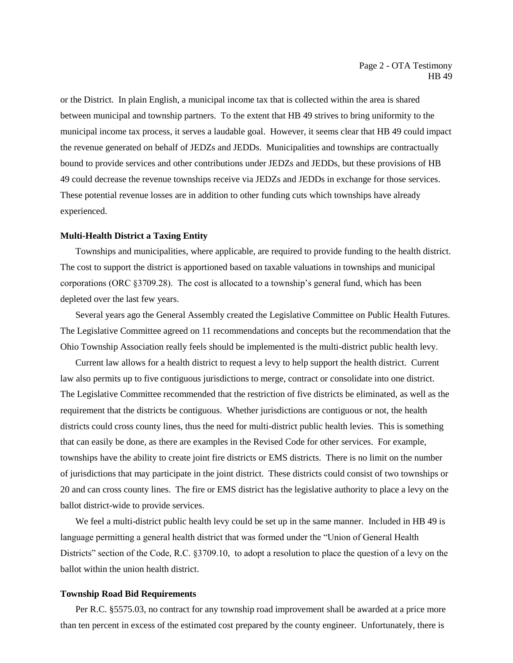or the District. In plain English, a municipal income tax that is collected within the area is shared between municipal and township partners. To the extent that HB 49 strives to bring uniformity to the municipal income tax process, it serves a laudable goal. However, it seems clear that HB 49 could impact the revenue generated on behalf of JEDZs and JEDDs. Municipalities and townships are contractually bound to provide services and other contributions under JEDZs and JEDDs, but these provisions of HB 49 could decrease the revenue townships receive via JEDZs and JEDDs in exchange for those services. These potential revenue losses are in addition to other funding cuts which townships have already experienced.

#### **Multi-Health District a Taxing Entity**

Townships and municipalities, where applicable, are required to provide funding to the health district. The cost to support the district is apportioned based on taxable valuations in townships and municipal corporations (ORC §3709.28). The cost is allocated to a township's general fund, which has been depleted over the last few years.

Several years ago the General Assembly created the Legislative Committee on Public Health Futures. The Legislative Committee agreed on 11 recommendations and concepts but the recommendation that the Ohio Township Association really feels should be implemented is the multi-district public health levy.

Current law allows for a health district to request a levy to help support the health district. Current law also permits up to five contiguous jurisdictions to merge, contract or consolidate into one district. The Legislative Committee recommended that the restriction of five districts be eliminated, as well as the requirement that the districts be contiguous. Whether jurisdictions are contiguous or not, the health districts could cross county lines, thus the need for multi-district public health levies. This is something that can easily be done, as there are examples in the Revised Code for other services. For example, townships have the ability to create joint fire districts or EMS districts. There is no limit on the number of jurisdictions that may participate in the joint district. These districts could consist of two townships or 20 and can cross county lines. The fire or EMS district has the legislative authority to place a levy on the ballot district-wide to provide services.

We feel a multi-district public health levy could be set up in the same manner. Included in HB 49 is language permitting a general health district that was formed under the "Union of General Health Districts" section of the Code, R.C. §3709.10, to adopt a resolution to place the question of a levy on the ballot within the union health district.

#### **Township Road Bid Requirements**

Per R.C. §5575.03, no contract for any township road improvement shall be awarded at a price more than ten percent in excess of the estimated cost prepared by the county engineer. Unfortunately, there is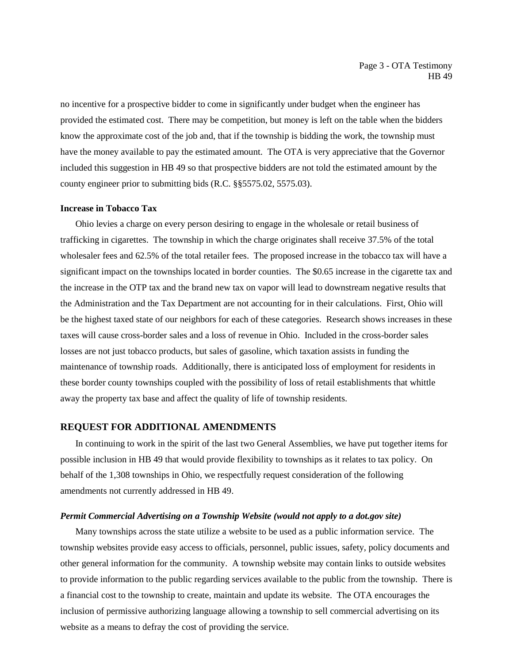no incentive for a prospective bidder to come in significantly under budget when the engineer has provided the estimated cost. There may be competition, but money is left on the table when the bidders know the approximate cost of the job and, that if the township is bidding the work, the township must have the money available to pay the estimated amount. The OTA is very appreciative that the Governor included this suggestion in HB 49 so that prospective bidders are not told the estimated amount by the county engineer prior to submitting bids (R.C. §§5575.02, 5575.03).

#### **Increase in Tobacco Tax**

Ohio levies a charge on every person desiring to engage in the wholesale or retail business of trafficking in cigarettes. The township in which the charge originates shall receive 37.5% of the total wholesaler fees and 62.5% of the total retailer fees. The proposed increase in the tobacco tax will have a significant impact on the townships located in border counties. The \$0.65 increase in the cigarette tax and the increase in the OTP tax and the brand new tax on vapor will lead to downstream negative results that the Administration and the Tax Department are not accounting for in their calculations. First, Ohio will be the highest taxed state of our neighbors for each of these categories. Research shows increases in these taxes will cause cross-border sales and a loss of revenue in Ohio. Included in the cross-border sales losses are not just tobacco products, but sales of gasoline, which taxation assists in funding the maintenance of township roads. Additionally, there is anticipated loss of employment for residents in these border county townships coupled with the possibility of loss of retail establishments that whittle away the property tax base and affect the quality of life of township residents.

#### **REQUEST FOR ADDITIONAL AMENDMENTS**

In continuing to work in the spirit of the last two General Assemblies, we have put together items for possible inclusion in HB 49 that would provide flexibility to townships as it relates to tax policy. On behalf of the 1,308 townships in Ohio, we respectfully request consideration of the following amendments not currently addressed in HB 49.

#### *Permit Commercial Advertising on a Township Website (would not apply to a dot.gov site)*

Many townships across the state utilize a website to be used as a public information service. The township websites provide easy access to officials, personnel, public issues, safety, policy documents and other general information for the community. A township website may contain links to outside websites to provide information to the public regarding services available to the public from the township. There is a financial cost to the township to create, maintain and update its website. The OTA encourages the inclusion of permissive authorizing language allowing a township to sell commercial advertising on its website as a means to defray the cost of providing the service.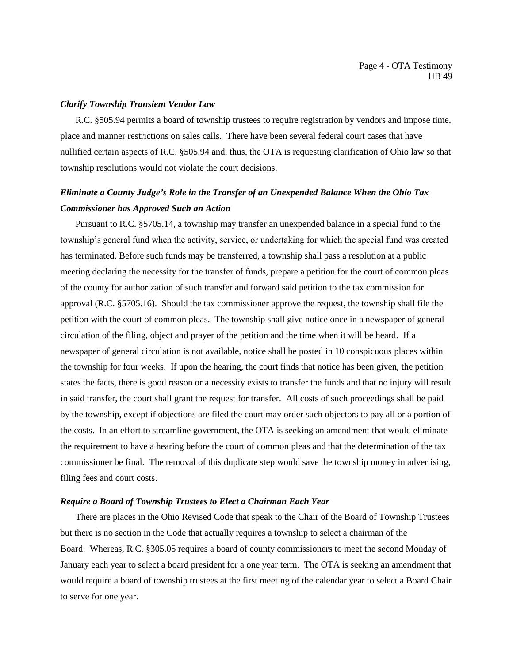#### *Clarify Township Transient Vendor Law*

R.C. §505.94 permits a board of township trustees to require registration by vendors and impose time, place and manner restrictions on sales calls. There have been several federal court cases that have nullified certain aspects of R.C. §505.94 and, thus, the OTA is requesting clarification of Ohio law so that township resolutions would not violate the court decisions.

## *Eliminate a County Judge's Role in the Transfer of an Unexpended Balance When the Ohio Tax Commissioner has Approved Such an Action*

Pursuant to R.C. §5705.14, a township may transfer an unexpended balance in a special fund to the township's general fund when the activity, service, or undertaking for which the special fund was created has terminated. Before such funds may be transferred, a township shall pass a resolution at a public meeting declaring the necessity for the transfer of funds, prepare a petition for the court of common pleas of the county for authorization of such transfer and forward said petition to the tax commission for approval (R.C. §5705.16). Should the tax commissioner approve the request, the township shall file the petition with the court of common pleas. The township shall give notice once in a newspaper of general circulation of the filing, object and prayer of the petition and the time when it will be heard. If a newspaper of general circulation is not available, notice shall be posted in 10 conspicuous places within the township for four weeks. If upon the hearing, the court finds that notice has been given, the petition states the facts, there is good reason or a necessity exists to transfer the funds and that no injury will result in said transfer, the court shall grant the request for transfer. All costs of such proceedings shall be paid by the township, except if objections are filed the court may order such objectors to pay all or a portion of the costs. In an effort to streamline government, the OTA is seeking an amendment that would eliminate the requirement to have a hearing before the court of common pleas and that the determination of the tax commissioner be final. The removal of this duplicate step would save the township money in advertising, filing fees and court costs.

#### *Require a Board of Township Trustees to Elect a Chairman Each Year*

There are places in the Ohio Revised Code that speak to the Chair of the Board of Township Trustees but there is no section in the Code that actually requires a township to select a chairman of the Board. Whereas, R.C. §305.05 requires a board of county commissioners to meet the second Monday of January each year to select a board president for a one year term. The OTA is seeking an amendment that would require a board of township trustees at the first meeting of the calendar year to select a Board Chair to serve for one year.